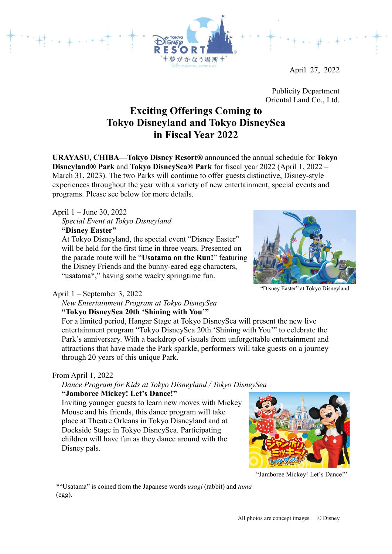April 27, 2022

Publicity Department Oriental Land Co., Ltd.

# **Exciting Offerings Coming to Tokyo Disneyland and Tokyo DisneySea in Fiscal Year 2022**

がかなう場所

**URAYASU, CHIBA—Tokyo Disney Resort®** announced the annual schedule for **Tokyo Disneyland® Park** and **Tokyo DisneySea® Park** for fiscal year 2022 (April 1, 2022 – March 31, 2023). The two Parks will continue to offer guests distinctive, Disney-style experiences throughout the year with a variety of new entertainment, special events and programs. Please see below for more details.

#### April 1 – June 30, 2022

*Special Event at Tokyo Disneyland* **"Disney Easter"**

At Tokyo Disneyland, the special event "Disney Easter" will be held for the first time in three years. Presented on the parade route will be "**Usatama on the Run!**" featuring the Disney Friends and the bunny-eared egg characters, "usatama\*," having some wacky springtime fun.



"Disney Easter" at Tokyo Disneyland

#### April 1 – September 3, 2022

*New Entertainment Program at Tokyo DisneySea* **"Tokyo DisneySea 20th 'Shining with You'"**

For a limited period, Hangar Stage at Tokyo DisneySea will present the new live entertainment program "Tokyo DisneySea 20th 'Shining with You'" to celebrate the Park's anniversary. With a backdrop of visuals from unforgettable entertainment and attractions that have made the Park sparkle, performers will take guests on a journey through 20 years of this unique Park.

#### From April 1, 2022

#### *Dance Program for Kids at Tokyo Disneyland / Tokyo DisneySea* **"Jamboree Mickey! Let's Dance!"**

Inviting younger guests to learn new moves with Mickey Mouse and his friends, this dance program will take place at Theatre Orleans in Tokyo Disneyland and at Dockside Stage in Tokyo DisneySea. Participating children will have fun as they dance around with the Disney pals.



"Jamboree Mickey! Let's Dance!"

\*"Usatama" is coined from the Japanese words *usagi* (rabbit) and *tama* (egg).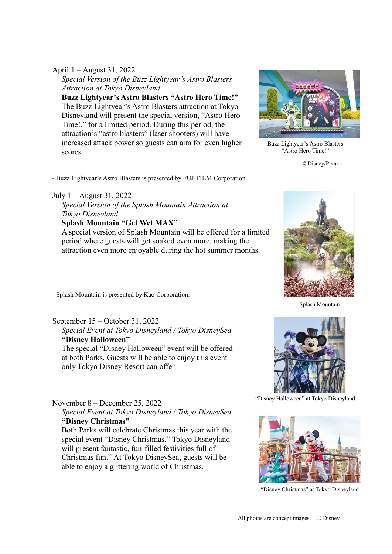### April 1 – August 31, 2022

*Special Version of the Buzz Lightyear's Astro Blasters Attraction at Tokyo Disneyland*

**Buzz Lightyear's Astro Blasters "Astro Hero Time!"** The Buzz Lightyear's Astro Blasters attraction at Tokyo Disneyland will present the special version, "Astro Hero Time!," for a limited period. During this period, the attraction's "astro blasters" (laser shooters) will have increased attack power so guests can aim for even higher scores.



Buzz Lightyear's Astro Blasters "Astro Hero Time!"

©Disney/Pixar

- Buzz Lightyear's Astro Blasters is presented by FUJIFILM Corporation.

#### July 1 – August 31, 2022

*Special Version of the Splash Mountain Attraction at Tokyo Disneyland*

# **Splash Mountain "Get Wet MAX"**

A special version of Splash Mountain will be offered for a limited period where guests will get soaked even more, making the attraction even more enjoyable during the hot summer months.

- Splash Mountain is presented by Kao Corporation.

# September 15 – October 31, 2022 *Special Event at Tokyo Disneyland / Tokyo DisneySea* **"Disney Halloween"**

The special "Disney Halloween" event will be offered at both Parks. Guests will be able to enjoy this event only Tokyo Disney Resort can offer.

# November 8 – December 25, 2022

*Special Event at Tokyo Disneyland / Tokyo DisneySea* **"Disney Christmas"**

Both Parks will celebrate Christmas this year with the special event "Disney Christmas." Tokyo Disneyland will present fantastic, fun-filled festivities full of Christmas fun." At Tokyo DisneySea, guests will be able to enjoy a glittering world of Christmas.



Splash Mountain



"Disney Halloween" at Tokyo Disneyland



"Disney Christmas" at Tokyo Disneyland